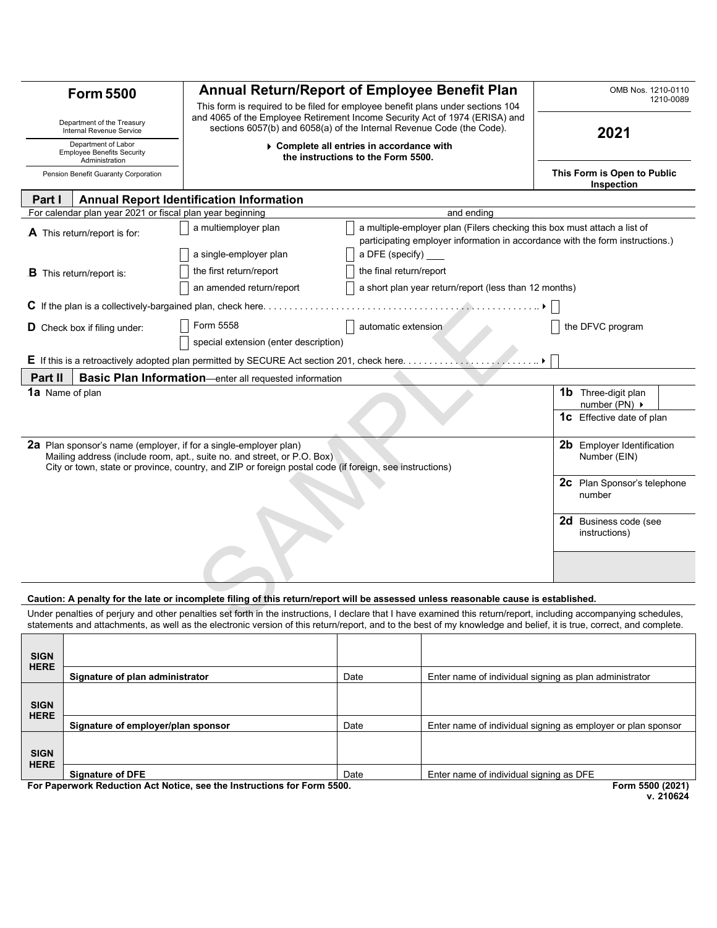| <b>Form 5500</b>                                                           |                                                           | <b>Annual Return/Report of Employee Benefit Plan</b>                                                                                                                                                                                                   |                                                                                                                                                                                                                                                                                                                                          | OMB Nos. 1210-0110<br>1210-0089                         |  |
|----------------------------------------------------------------------------|-----------------------------------------------------------|--------------------------------------------------------------------------------------------------------------------------------------------------------------------------------------------------------------------------------------------------------|------------------------------------------------------------------------------------------------------------------------------------------------------------------------------------------------------------------------------------------------------------------------------------------------------------------------------------------|---------------------------------------------------------|--|
| Department of the Treasury<br>Internal Revenue Service                     |                                                           | This form is required to be filed for employee benefit plans under sections 104<br>and 4065 of the Employee Retirement Income Security Act of 1974 (ERISA) and<br>sections 6057(b) and 6058(a) of the Internal Revenue Code (the Code).                |                                                                                                                                                                                                                                                                                                                                          | 2021                                                    |  |
| Department of Labor<br><b>Employee Benefits Security</b><br>Administration |                                                           | ▶ Complete all entries in accordance with<br>the instructions to the Form 5500.                                                                                                                                                                        |                                                                                                                                                                                                                                                                                                                                          |                                                         |  |
|                                                                            | Pension Benefit Guaranty Corporation                      |                                                                                                                                                                                                                                                        |                                                                                                                                                                                                                                                                                                                                          | This Form is Open to Public<br>Inspection               |  |
| Part I                                                                     |                                                           | <b>Annual Report Identification Information</b>                                                                                                                                                                                                        |                                                                                                                                                                                                                                                                                                                                          |                                                         |  |
|                                                                            | For calendar plan year 2021 or fiscal plan year beginning |                                                                                                                                                                                                                                                        | and ending                                                                                                                                                                                                                                                                                                                               |                                                         |  |
|                                                                            | A This return/report is for:                              | a multiemployer plan                                                                                                                                                                                                                                   | a multiple-employer plan (Filers checking this box must attach a list of<br>participating employer information in accordance with the form instructions.)                                                                                                                                                                                |                                                         |  |
|                                                                            |                                                           | a single-employer plan                                                                                                                                                                                                                                 | a DFE (specify)                                                                                                                                                                                                                                                                                                                          |                                                         |  |
|                                                                            | $\bf{B}$ This return/report is:                           | the first return/report                                                                                                                                                                                                                                | the final return/report                                                                                                                                                                                                                                                                                                                  |                                                         |  |
|                                                                            |                                                           | an amended return/report                                                                                                                                                                                                                               | a short plan year return/report (less than 12 months)                                                                                                                                                                                                                                                                                    |                                                         |  |
|                                                                            |                                                           |                                                                                                                                                                                                                                                        |                                                                                                                                                                                                                                                                                                                                          |                                                         |  |
|                                                                            | D Check box if filing under:                              | Form 5558                                                                                                                                                                                                                                              | automatic extension                                                                                                                                                                                                                                                                                                                      | the DFVC program                                        |  |
|                                                                            |                                                           | special extension (enter description)                                                                                                                                                                                                                  |                                                                                                                                                                                                                                                                                                                                          |                                                         |  |
|                                                                            |                                                           | <b>E</b> If this is a retroactively adopted plan permitted by SECURE Act section 201, check here                                                                                                                                                       |                                                                                                                                                                                                                                                                                                                                          |                                                         |  |
| Part II                                                                    |                                                           | <b>Basic Plan Information</b> —enter all requested information                                                                                                                                                                                         |                                                                                                                                                                                                                                                                                                                                          |                                                         |  |
| 1a Name of plan                                                            |                                                           |                                                                                                                                                                                                                                                        |                                                                                                                                                                                                                                                                                                                                          | <b>1b</b> Three-digit plan<br>number (PN) $\rightarrow$ |  |
|                                                                            |                                                           |                                                                                                                                                                                                                                                        |                                                                                                                                                                                                                                                                                                                                          | <b>1C</b> Effective date of plan                        |  |
|                                                                            |                                                           | 2a Plan sponsor's name (employer, if for a single-employer plan)<br>Mailing address (include room, apt., suite no. and street, or P.O. Box)<br>City or town, state or province, country, and ZIP or foreign postal code (if foreign, see instructions) |                                                                                                                                                                                                                                                                                                                                          | <b>2b</b> Employer Identification<br>Number (EIN)       |  |
|                                                                            |                                                           |                                                                                                                                                                                                                                                        |                                                                                                                                                                                                                                                                                                                                          | <b>2c</b> Plan Sponsor's telephone<br>number            |  |
|                                                                            |                                                           |                                                                                                                                                                                                                                                        |                                                                                                                                                                                                                                                                                                                                          | 2d Business code (see<br>instructions)                  |  |
|                                                                            |                                                           |                                                                                                                                                                                                                                                        |                                                                                                                                                                                                                                                                                                                                          |                                                         |  |
|                                                                            |                                                           |                                                                                                                                                                                                                                                        | Caution: A penalty for the late or incomplete filing of this return/report will be assessed unless reasonable cause is established.                                                                                                                                                                                                      |                                                         |  |
|                                                                            |                                                           |                                                                                                                                                                                                                                                        | Under penalties of perjury and other penalties set forth in the instructions, I declare that I have examined this return/report, including accompanying schedules,<br>etatements and attachments, as well as the electronic version of this return/report, and to the best of my knowledge and belief, it is true, correct, and complete |                                                         |  |

## **Caution: A penalty for the late or incomplete filing of this return/report will be assessed unless reasonable cause is established.**

Under penalties of perjury and other penalties set forth in the instructions, I declare that I have examined this return/report, including accompanying schedules, statements and attachments, as well as the electronic version of this return/report, and to the best of my knowledge and belief, it is true, correct, and complete.

| <b>SIGN</b>                                                             |                                    |      |                                                              |
|-------------------------------------------------------------------------|------------------------------------|------|--------------------------------------------------------------|
| <b>HERE</b>                                                             | Signature of plan administrator    | Date | Enter name of individual signing as plan administrator       |
| <b>SIGN</b>                                                             |                                    |      |                                                              |
| <b>HERE</b>                                                             | Signature of employer/plan sponsor | Date | Enter name of individual signing as employer or plan sponsor |
| <b>SIGN</b>                                                             |                                    |      |                                                              |
| <b>HERE</b>                                                             | <b>Signature of DFE</b>            | Date | Enter name of individual signing as DFE                      |
| For Paperwork Reduction Act Notice, see the Instructions for Form 5500. |                                    |      | Form 5500 (2021)                                             |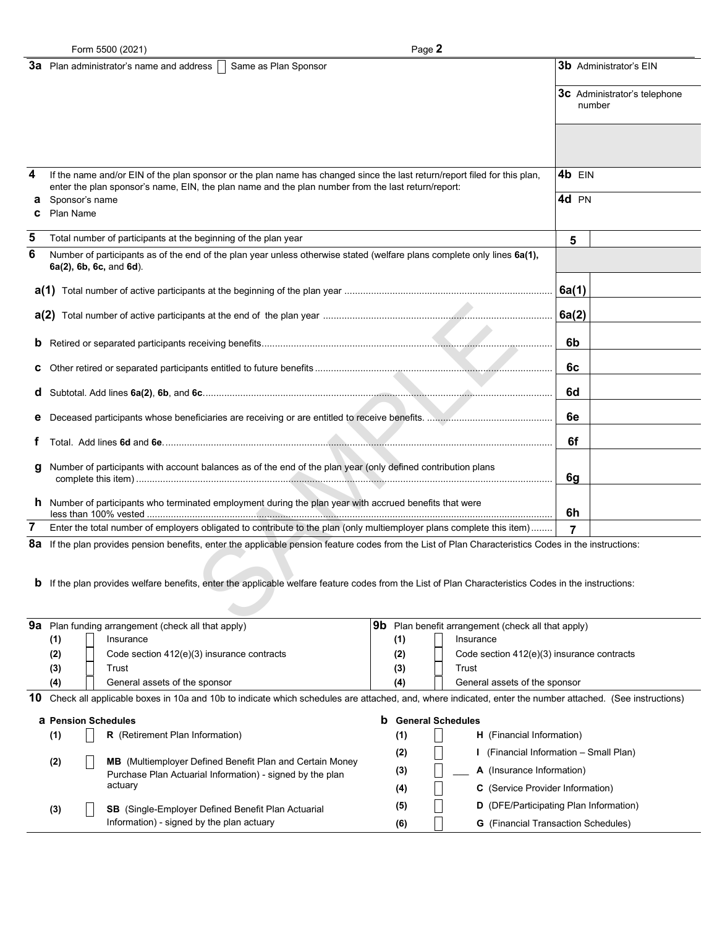|        | Form 5500 (2021)                                                                                                                                                                                                                                                                                                     | Page 2                                                                                                                                                                                                                                                                                                                                        |        |                                               |
|--------|----------------------------------------------------------------------------------------------------------------------------------------------------------------------------------------------------------------------------------------------------------------------------------------------------------------------|-----------------------------------------------------------------------------------------------------------------------------------------------------------------------------------------------------------------------------------------------------------------------------------------------------------------------------------------------|--------|-----------------------------------------------|
|        | Same as Plan Sponsor<br><b>3a</b> Plan administrator's name and address                                                                                                                                                                                                                                              |                                                                                                                                                                                                                                                                                                                                               |        | <b>3b</b> Administrator's EIN                 |
|        |                                                                                                                                                                                                                                                                                                                      |                                                                                                                                                                                                                                                                                                                                               |        | <b>3c</b> Administrator's telephone<br>number |
|        |                                                                                                                                                                                                                                                                                                                      |                                                                                                                                                                                                                                                                                                                                               |        |                                               |
| 4      | If the name and/or EIN of the plan sponsor or the plan name has changed since the last return/report filed for this plan,<br>enter the plan sponsor's name, EIN, the plan name and the plan number from the last return/report:                                                                                      |                                                                                                                                                                                                                                                                                                                                               | 4b EIN |                                               |
| а<br>C | Sponsor's name<br>Plan Name                                                                                                                                                                                                                                                                                          |                                                                                                                                                                                                                                                                                                                                               | 4d PN  |                                               |
| 5      | Total number of participants at the beginning of the plan year                                                                                                                                                                                                                                                       |                                                                                                                                                                                                                                                                                                                                               | 5      |                                               |
| 6      | Number of participants as of the end of the plan year unless otherwise stated (welfare plans complete only lines 6a(1),<br>6a(2), 6b, 6c, and 6d).                                                                                                                                                                   |                                                                                                                                                                                                                                                                                                                                               |        |                                               |
|        |                                                                                                                                                                                                                                                                                                                      |                                                                                                                                                                                                                                                                                                                                               | 6a(1)  |                                               |
|        |                                                                                                                                                                                                                                                                                                                      |                                                                                                                                                                                                                                                                                                                                               | 6a(2)  |                                               |
| b      |                                                                                                                                                                                                                                                                                                                      |                                                                                                                                                                                                                                                                                                                                               | 6b     |                                               |
| с      |                                                                                                                                                                                                                                                                                                                      |                                                                                                                                                                                                                                                                                                                                               | 6c     |                                               |
| d      |                                                                                                                                                                                                                                                                                                                      |                                                                                                                                                                                                                                                                                                                                               | 6d     |                                               |
| е      |                                                                                                                                                                                                                                                                                                                      |                                                                                                                                                                                                                                                                                                                                               | 6е     |                                               |
|        |                                                                                                                                                                                                                                                                                                                      |                                                                                                                                                                                                                                                                                                                                               | 6f     |                                               |
| g      | Number of participants with account balances as of the end of the plan year (only defined contribution plans                                                                                                                                                                                                         |                                                                                                                                                                                                                                                                                                                                               | 6g     |                                               |
|        | <b>h</b> Number of participants who terminated employment during the plan year with accrued benefits that were                                                                                                                                                                                                       |                                                                                                                                                                                                                                                                                                                                               | 6h     |                                               |
| 7      | Enter the total number of employers obligated to contribute to the plan (only multiemployer plans complete this item)                                                                                                                                                                                                |                                                                                                                                                                                                                                                                                                                                               | 7      |                                               |
|        | 8a If the plan provides pension benefits, enter the applicable pension feature codes from the List of Plan Characteristics Codes in the instructions:<br><b>b</b> If the plan provides welfare benefits, enter the applicable welfare feature codes from the List of Plan Characteristics Codes in the instructions: |                                                                                                                                                                                                                                                                                                                                               |        |                                               |
|        | $\Omega$ $\Omega$ . Diese from discusses a measurement (also also all the streams)                                                                                                                                                                                                                                   | $\overline{\mathbf{a}}$ $\mathbf{b}$ $\overline{\mathbf{b}}$ $\mathbf{c}$ $\mathbf{b}$ $\mathbf{c}$ $\mathbf{c}$ $\mathbf{c}$ $\mathbf{c}$ $\mathbf{c}$ $\mathbf{c}$ $\mathbf{c}$ $\mathbf{c}$ $\mathbf{c}$ $\mathbf{c}$ $\mathbf{c}$ $\mathbf{c}$ $\mathbf{c}$ $\mathbf{c}$ $\mathbf{c}$ $\mathbf{c}$ $\mathbf{c}$ $\mathbf{c}$ $\mathbf{c}$ |        |                                               |

| 9а                                                          |                                                                                                                                                         | Plan funding arrangement (check all that apply)                                                                                                                                                                                                   | 9b  | Plan benefit arrangement (check all that apply) |  |  |
|-------------------------------------------------------------|---------------------------------------------------------------------------------------------------------------------------------------------------------|---------------------------------------------------------------------------------------------------------------------------------------------------------------------------------------------------------------------------------------------------|-----|-------------------------------------------------|--|--|
|                                                             | (1)                                                                                                                                                     | Insurance                                                                                                                                                                                                                                         | (1) | Insurance                                       |  |  |
|                                                             | (2)                                                                                                                                                     | Code section 412(e)(3) insurance contracts                                                                                                                                                                                                        | (2) | Code section 412(e)(3) insurance contracts      |  |  |
|                                                             | (3)                                                                                                                                                     | Trust                                                                                                                                                                                                                                             | (3) | Trust                                           |  |  |
|                                                             | (4)                                                                                                                                                     | General assets of the sponsor                                                                                                                                                                                                                     | (4) | General assets of the sponsor                   |  |  |
| 10                                                          | Check all applicable boxes in 10a and 10b to indicate which schedules are attached, and, where indicated, enter the number attached. (See instructions) |                                                                                                                                                                                                                                                   |     |                                                 |  |  |
| b<br><b>General Schedules</b><br><b>a</b> Pension Schedules |                                                                                                                                                         |                                                                                                                                                                                                                                                   |     |                                                 |  |  |
|                                                             | (1)                                                                                                                                                     | <b>R</b> (Retirement Plan Information)                                                                                                                                                                                                            | (1) | <b>H</b> (Financial Information)                |  |  |
| (2)                                                         |                                                                                                                                                         | <b>MB</b> (Multiemployer Defined Benefit Plan and Certain Money<br>Purchase Plan Actuarial Information) - signed by the plan<br>actuary<br><b>SB</b> (Single-Employer Defined Benefit Plan Actuarial<br>Information) - signed by the plan actuary | (2) | (Financial Information - Small Plan)            |  |  |
|                                                             |                                                                                                                                                         |                                                                                                                                                                                                                                                   | (3) | A (Insurance Information)                       |  |  |
|                                                             |                                                                                                                                                         |                                                                                                                                                                                                                                                   | (4) | <b>C</b> (Service Provider Information)         |  |  |
|                                                             | (3)                                                                                                                                                     |                                                                                                                                                                                                                                                   | (5) | <b>D</b> (DFE/Participating Plan Information)   |  |  |
|                                                             |                                                                                                                                                         |                                                                                                                                                                                                                                                   | (6) | <b>G</b> (Financial Transaction Schedules)      |  |  |
|                                                             |                                                                                                                                                         |                                                                                                                                                                                                                                                   |     |                                                 |  |  |